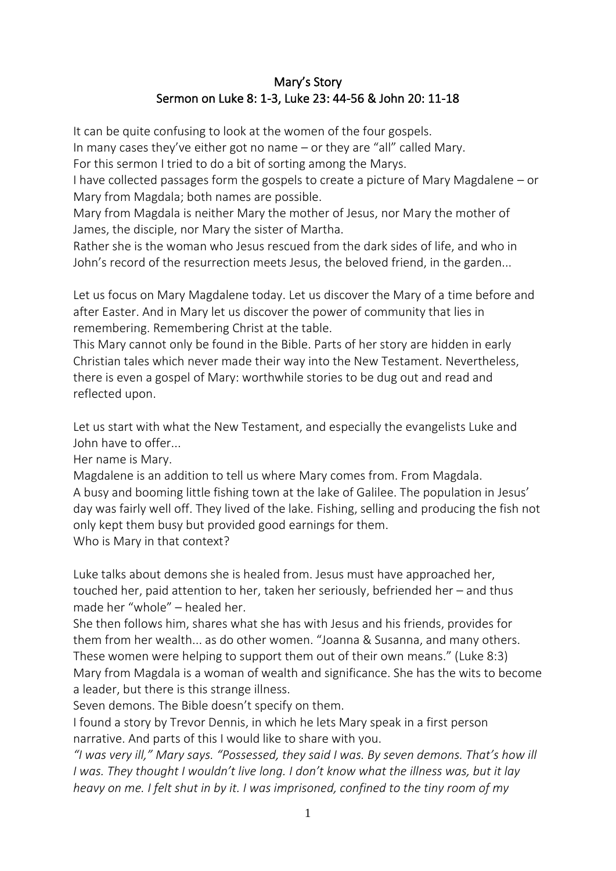## Mary's Story Sermon on Luke 8: 1-3, Luke 23: 44-56 & John 20: 11-18

It can be quite confusing to look at the women of the four gospels.

In many cases they've either got no name – or they are "all" called Mary.

For this sermon I tried to do a bit of sorting among the Marys.

I have collected passages form the gospels to create a picture of Mary Magdalene – or Mary from Magdala; both names are possible.

Mary from Magdala is neither Mary the mother of Jesus, nor Mary the mother of James, the disciple, nor Mary the sister of Martha.

Rather she is the woman who Jesus rescued from the dark sides of life, and who in John's record of the resurrection meets Jesus, the beloved friend, in the garden...

Let us focus on Mary Magdalene today. Let us discover the Mary of a time before and after Easter. And in Mary let us discover the power of community that lies in remembering. Remembering Christ at the table.

This Mary cannot only be found in the Bible. Parts of her story are hidden in early Christian tales which never made their way into the New Testament. Nevertheless, there is even a gospel of Mary: worthwhile stories to be dug out and read and reflected upon.

Let us start with what the New Testament, and especially the evangelists Luke and John have to offer...

Her name is Mary.

Magdalene is an addition to tell us where Mary comes from. From Magdala. A busy and booming little fishing town at the lake of Galilee. The population in Jesus' day was fairly well off. They lived of the lake. Fishing, selling and producing the fish not only kept them busy but provided good earnings for them. Who is Mary in that context?

Luke talks about demons she is healed from. Jesus must have approached her, touched her, paid attention to her, taken her seriously, befriended her – and thus made her "whole" – healed her.

She then follows him, shares what she has with Jesus and his friends, provides for them from her wealth... as do other women. "Joanna & Susanna, and many others. These women were helping to support them out of their own means." (Luke 8:3) Mary from Magdala is a woman of wealth and significance. She has the wits to become a leader, but there is this strange illness.

Seven demons. The Bible doesn't specify on them.

I found a story by Trevor Dennis, in which he lets Mary speak in a first person narrative. And parts of this I would like to share with you.

*"I was very ill," Mary says. "Possessed, they said I was. By seven demons. That's how ill I was. They thought I wouldn't live long. I don't know what the illness was, but it lay heavy on me. I felt shut in by it. I was imprisoned, confined to the tiny room of my*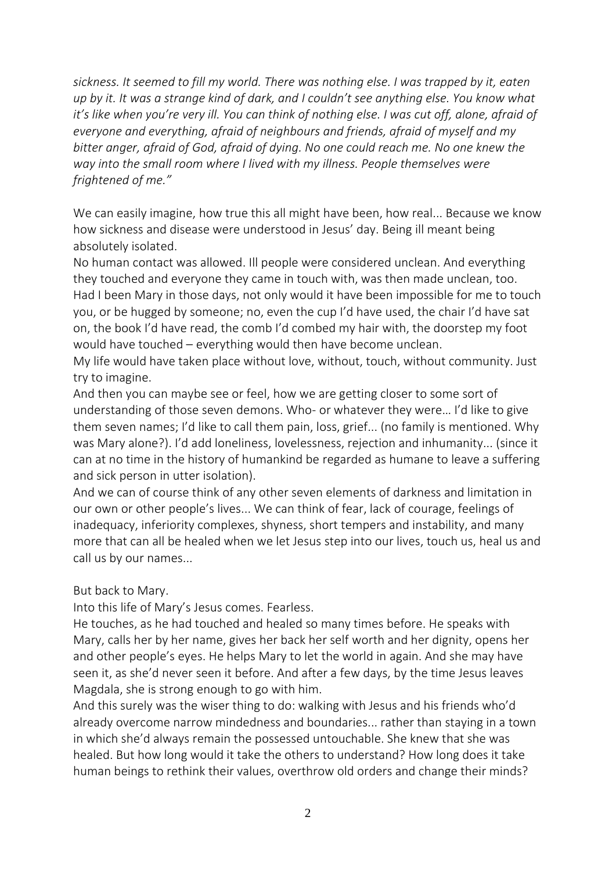*sickness. It seemed to fill my world. There was nothing else. I was trapped by it, eaten up by it. It was a strange kind of dark, and I couldn't see anything else. You know what it's like when you're very ill. You can think of nothing else. I was cut off, alone, afraid of everyone and everything, afraid of neighbours and friends, afraid of myself and my bitter anger, afraid of God, afraid of dying. No one could reach me. No one knew the way into the small room where I lived with my illness. People themselves were frightened of me."*

We can easily imagine, how true this all might have been, how real... Because we know how sickness and disease were understood in Jesus' day. Being ill meant being absolutely isolated.

No human contact was allowed. Ill people were considered unclean. And everything they touched and everyone they came in touch with, was then made unclean, too. Had I been Mary in those days, not only would it have been impossible for me to touch you, or be hugged by someone; no, even the cup I'd have used, the chair I'd have sat on, the book I'd have read, the comb I'd combed my hair with, the doorstep my foot would have touched – everything would then have become unclean.

My life would have taken place without love, without, touch, without community. Just try to imagine.

And then you can maybe see or feel, how we are getting closer to some sort of understanding of those seven demons. Who- or whatever they were… I'd like to give them seven names; I'd like to call them pain, loss, grief... (no family is mentioned. Why was Mary alone?). I'd add loneliness, lovelessness, rejection and inhumanity... (since it can at no time in the history of humankind be regarded as humane to leave a suffering and sick person in utter isolation).

And we can of course think of any other seven elements of darkness and limitation in our own or other people's lives... We can think of fear, lack of courage, feelings of inadequacy, inferiority complexes, shyness, short tempers and instability, and many more that can all be healed when we let Jesus step into our lives, touch us, heal us and call us by our names...

But back to Mary.

Into this life of Mary's Jesus comes. Fearless.

He touches, as he had touched and healed so many times before. He speaks with Mary, calls her by her name, gives her back her self worth and her dignity, opens her and other people's eyes. He helps Mary to let the world in again. And she may have seen it, as she'd never seen it before. And after a few days, by the time Jesus leaves Magdala, she is strong enough to go with him.

And this surely was the wiser thing to do: walking with Jesus and his friends who'd already overcome narrow mindedness and boundaries... rather than staying in a town in which she'd always remain the possessed untouchable. She knew that she was healed. But how long would it take the others to understand? How long does it take human beings to rethink their values, overthrow old orders and change their minds?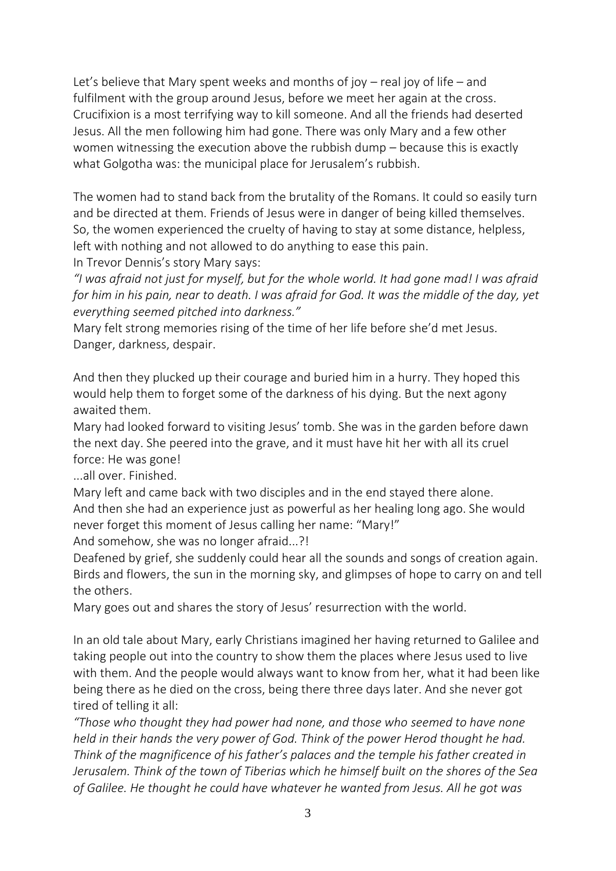Let's believe that Mary spent weeks and months of joy – real joy of life – and fulfilment with the group around Jesus, before we meet her again at the cross. Crucifixion is a most terrifying way to kill someone. And all the friends had deserted Jesus. All the men following him had gone. There was only Mary and a few other women witnessing the execution above the rubbish dump – because this is exactly what Golgotha was: the municipal place for Jerusalem's rubbish.

The women had to stand back from the brutality of the Romans. It could so easily turn and be directed at them. Friends of Jesus were in danger of being killed themselves. So, the women experienced the cruelty of having to stay at some distance, helpless, left with nothing and not allowed to do anything to ease this pain.

In Trevor Dennis's story Mary says:

*"I was afraid not just for myself, but for the whole world. It had gone mad! I was afraid for him in his pain, near to death. I was afraid for God. It was the middle of the day, yet everything seemed pitched into darkness."*

Mary felt strong memories rising of the time of her life before she'd met Jesus. Danger, darkness, despair.

And then they plucked up their courage and buried him in a hurry. They hoped this would help them to forget some of the darkness of his dying. But the next agony awaited them.

Mary had looked forward to visiting Jesus' tomb. She was in the garden before dawn the next day. She peered into the grave, and it must have hit her with all its cruel force: He was gone!

...all over. Finished.

Mary left and came back with two disciples and in the end stayed there alone. And then she had an experience just as powerful as her healing long ago. She would never forget this moment of Jesus calling her name: "Mary!"

And somehow, she was no longer afraid...?!

Deafened by grief, she suddenly could hear all the sounds and songs of creation again. Birds and flowers, the sun in the morning sky, and glimpses of hope to carry on and tell the others.

Mary goes out and shares the story of Jesus' resurrection with the world.

In an old tale about Mary, early Christians imagined her having returned to Galilee and taking people out into the country to show them the places where Jesus used to live with them. And the people would always want to know from her, what it had been like being there as he died on the cross, being there three days later. And she never got tired of telling it all:

*"Those who thought they had power had none, and those who seemed to have none held in their hands the very power of God. Think of the power Herod thought he had. Think of the magnificence of his father's palaces and the temple his father created in Jerusalem. Think of the town of Tiberias which he himself built on the shores of the Sea of Galilee. He thought he could have whatever he wanted from Jesus. All he got was*